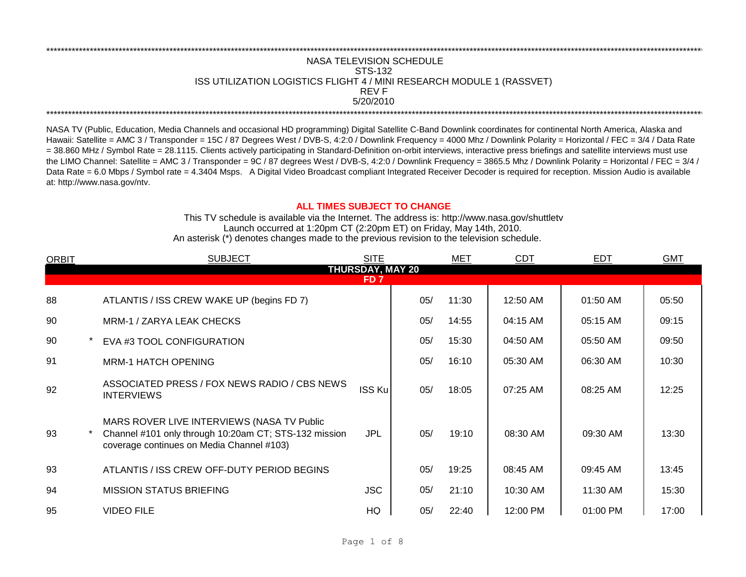## REV F \*\*\*\*\*\*\*\*\*\*\*\*\*\*\*\*\*\*\*\*\*\*\*\*\*\*\*\*\*\*\*\*\*\*\*\*\*\*\*\*\*\*\*\*\*\*\*\*\*\*\*\*\*\*\*\*\*\*\*\*\*\*\*\*\*\*\*\*\*\*\*\*\*\*\*\*\*\*\*\*\*\*\*\*\*\*\*\*\*\*\*\*\*\*\*\*\*\*\*\*\*\*\*\*\*\*\*\*\*\*\*\*\*\*\*\*\*\*\*\*\*\*\*\*\*\*\*\*\*\*\*\*\*\*\*\*\*\*\*\*\*\*\*\*\*\*\*\*\*\*\*\*\*\*\*\*\*\*\*\*\*\*\*\*\*\*\*\*\*\*\*\*\*\*\*\*\*\*\*\*\*\*\*\*\* NASA TELEVISION SCHEDULE STS-132 ISS UTILIZATION LOGISTICS FLIGHT 4 / MINI RESEARCH MODULE 1 (RASSVET) 5/20/2010 \*\*\*\*\*\*\*\*\*\*\*\*\*\*\*\*\*\*\*\*\*\*\*\*\*\*\*\*\*\*\*\*\*\*\*\*\*\*\*\*\*\*\*\*\*\*\*\*\*\*\*\*\*\*\*\*\*\*\*\*\*\*\*\*\*\*\*\*\*\*\*\*\*\*\*\*\*\*\*\*\*\*\*\*\*\*\*\*\*\*\*\*\*\*\*\*\*\*\*\*\*\*\*\*\*\*\*\*\*\*\*\*\*\*\*\*\*\*\*\*\*\*\*\*\*\*\*\*\*\*\*\*\*\*\*\*\*\*\*\*\*\*\*\*\*\*\*\*\*\*\*\*\*\*\*\*\*\*\*\*\*\*\*\*\*\*\*\*\*\*\*\*\*\*\*\*\*\*\*\*\*\*\*\*\*

NASA TV (Public, Education, Media Channels and occasional HD programming) Digital Satellite C-Band Downlink coordinates for continental North America, Alaska and Hawaii: Satellite = AMC 3 / Transponder = 15C / 87 Degrees West / DVB-S, 4:2:0 / Downlink Frequency = 4000 Mhz / Downlink Polarity = Horizontal / FEC = 3/4 / Data Rate = 38.860 MHz / Symbol Rate = 28.1115. Clients actively participating in Standard-Definition on-orbit interviews, interactive press briefings and satellite interviews must use the LIMO Channel: Satellite = AMC 3 / Transponder = 9C / 87 degrees West / DVB-S, 4:2:0 / Downlink Frequency = 3865.5 Mhz / Downlink Polarity = Horizontal / FEC = 3/4 / Data Rate = 6.0 Mbps / Symbol rate = 4.3404 Msps. A Digital Video Broadcast compliant Integrated Receiver Decoder is required for reception. Mission Audio is available at: http://www.nasa.gov/ntv.

## **ALL TIMES SUBJECT TO CHANGE**

Launch occurred at 1:20pm CT (2:20pm ET) on Friday, May 14th, 2010. An asterisk (\*) denotes changes made to the previous revision to the television schedule. This TV schedule is available via the Internet. The address is: http://www.nasa.gov/shuttletv

| <b>ORBIT</b> | <b>SUBJECT</b>                                                                                                                                                                                                                                                                                                                                                                                                                                                                                                                                                              | <b>SITE</b> |     | MET   | <b>CDT</b> | <b>EDT</b> | <b>GMT</b> |  |  |  |
|--------------|-----------------------------------------------------------------------------------------------------------------------------------------------------------------------------------------------------------------------------------------------------------------------------------------------------------------------------------------------------------------------------------------------------------------------------------------------------------------------------------------------------------------------------------------------------------------------------|-------------|-----|-------|------------|------------|------------|--|--|--|
|              | <b>THURSDAY, MAY 20</b><br>FD 7<br>05/<br>11:30<br>12:50 AM<br>05:50<br>01:50 AM<br>14:55<br>04:15 AM<br>05:15 AM<br>09:15<br>05/<br>05/<br>15:30<br>04:50 AM<br>05:50 AM<br>09:50<br>16:10<br>05:30 AM<br>10:30<br>05/<br>06:30 AM<br>ASSOCIATED PRESS / FOX NEWS RADIO / CBS NEWS<br><b>ISS Ku</b><br>05/<br>18:05<br>07:25 AM<br>08:25 AM<br>12:25<br>Channel #101 only through 10:20am CT; STS-132 mission<br><b>JPL</b><br>05/<br>19:10<br>08:30 AM<br>09:30 AM<br>13:30<br>coverage continues on Media Channel #103)<br>05/<br>19:25<br>08:45 AM<br>09:45 AM<br>13:45 |             |     |       |            |            |            |  |  |  |
|              |                                                                                                                                                                                                                                                                                                                                                                                                                                                                                                                                                                             |             |     |       |            |            |            |  |  |  |
| 88           | ATLANTIS / ISS CREW WAKE UP (begins FD 7)                                                                                                                                                                                                                                                                                                                                                                                                                                                                                                                                   |             |     |       |            |            |            |  |  |  |
| 90           | MRM-1 / ZARYA LEAK CHECKS                                                                                                                                                                                                                                                                                                                                                                                                                                                                                                                                                   |             |     |       |            |            |            |  |  |  |
| 90           | EVA #3 TOOL CONFIGURATION                                                                                                                                                                                                                                                                                                                                                                                                                                                                                                                                                   |             |     |       |            |            |            |  |  |  |
| 91           | <b>MRM-1 HATCH OPENING</b>                                                                                                                                                                                                                                                                                                                                                                                                                                                                                                                                                  |             |     |       |            |            |            |  |  |  |
| 92           | <b>INTERVIEWS</b>                                                                                                                                                                                                                                                                                                                                                                                                                                                                                                                                                           |             |     |       |            |            |            |  |  |  |
| 93           | MARS ROVER LIVE INTERVIEWS (NASA TV Public                                                                                                                                                                                                                                                                                                                                                                                                                                                                                                                                  |             |     |       |            |            |            |  |  |  |
| 93           | ATLANTIS / ISS CREW OFF-DUTY PERIOD BEGINS                                                                                                                                                                                                                                                                                                                                                                                                                                                                                                                                  |             |     |       |            |            |            |  |  |  |
| 94           | <b>MISSION STATUS BRIEFING</b>                                                                                                                                                                                                                                                                                                                                                                                                                                                                                                                                              | <b>JSC</b>  | 05/ | 21:10 | 10:30 AM   | 11:30 AM   | 15:30      |  |  |  |
| 95           | <b>VIDEO FILE</b>                                                                                                                                                                                                                                                                                                                                                                                                                                                                                                                                                           | HQ          | 05/ | 22:40 | 12:00 PM   | 01:00 PM   | 17:00      |  |  |  |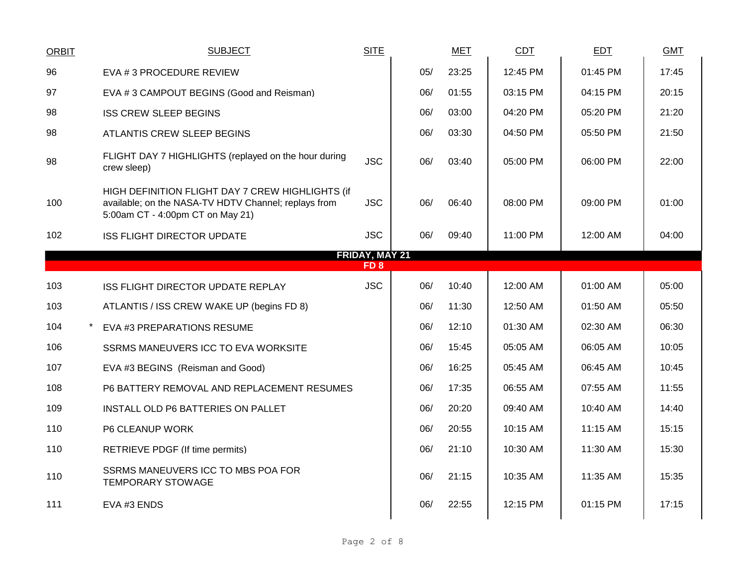| <b>ORBIT</b>    | <b>SUBJECT</b>                                                                                                                               | <b>SITE</b>                              |     | <b>MET</b> | <b>CDT</b> | <b>EDT</b> | <b>GMT</b> |
|-----------------|----------------------------------------------------------------------------------------------------------------------------------------------|------------------------------------------|-----|------------|------------|------------|------------|
| 96              | EVA # 3 PROCEDURE REVIEW                                                                                                                     |                                          | 05/ | 23:25      | 12:45 PM   | 01:45 PM   | 17:45      |
| 97              | EVA #3 CAMPOUT BEGINS (Good and Reisman)                                                                                                     |                                          | 06/ | 01:55      | 03:15 PM   | 04:15 PM   | 20:15      |
| 98              | <b>ISS CREW SLEEP BEGINS</b>                                                                                                                 |                                          | 06/ | 03:00      | 04:20 PM   | 05:20 PM   | 21:20      |
| 98              | ATLANTIS CREW SLEEP BEGINS                                                                                                                   |                                          | 06/ | 03:30      | 04:50 PM   | 05:50 PM   | 21:50      |
| 98              | FLIGHT DAY 7 HIGHLIGHTS (replayed on the hour during<br>crew sleep)                                                                          | <b>JSC</b>                               | 06/ | 03:40      | 05:00 PM   | 06:00 PM   | 22:00      |
| 100             | HIGH DEFINITION FLIGHT DAY 7 CREW HIGHLIGHTS (if<br>available; on the NASA-TV HDTV Channel; replays from<br>5:00am CT - 4:00pm CT on May 21) | <b>JSC</b>                               | 06/ | 06:40      | 08:00 PM   | 09:00 PM   | 01:00      |
| 102             | <b>ISS FLIGHT DIRECTOR UPDATE</b>                                                                                                            | <b>JSC</b>                               | 06/ | 09:40      | 11:00 PM   | 12:00 AM   | 04:00      |
|                 |                                                                                                                                              | <b>FRIDAY, MAY 21</b><br>FD <sub>8</sub> |     |            |            |            |            |
| 103             | ISS FLIGHT DIRECTOR UPDATE REPLAY                                                                                                            | <b>JSC</b>                               | 06/ | 10:40      | 12:00 AM   | 01:00 AM   | 05:00      |
| 103             | ATLANTIS / ISS CREW WAKE UP (begins FD 8)                                                                                                    |                                          | 06/ | 11:30      | 12:50 AM   | 01:50 AM   | 05:50      |
| 104<br>$^\star$ | EVA #3 PREPARATIONS RESUME                                                                                                                   |                                          | 06/ | 12:10      | 01:30 AM   | 02:30 AM   | 06:30      |
| 106             | SSRMS MANEUVERS ICC TO EVA WORKSITE                                                                                                          |                                          | 06/ | 15:45      | 05:05 AM   | 06:05 AM   | 10:05      |
| 107             | EVA #3 BEGINS (Reisman and Good)                                                                                                             |                                          | 06/ | 16:25      | 05:45 AM   | 06:45 AM   | 10:45      |
| 108             | P6 BATTERY REMOVAL AND REPLACEMENT RESUMES                                                                                                   |                                          | 06/ | 17:35      | 06:55 AM   | 07:55 AM   | 11:55      |
| 109             | INSTALL OLD P6 BATTERIES ON PALLET                                                                                                           |                                          | 06/ | 20:20      | 09:40 AM   | 10:40 AM   | 14:40      |
| 110             | P6 CLEANUP WORK                                                                                                                              |                                          | 06/ | 20:55      | 10:15 AM   | 11:15 AM   | 15:15      |
| 110             | RETRIEVE PDGF (If time permits)                                                                                                              |                                          | 06/ | 21:10      | 10:30 AM   | 11:30 AM   | 15:30      |
| 110             | SSRMS MANEUVERS ICC TO MBS POA FOR<br><b>TEMPORARY STOWAGE</b>                                                                               |                                          | 06/ | 21:15      | 10:35 AM   | 11:35 AM   | 15:35      |
| 111             | EVA #3 ENDS                                                                                                                                  |                                          | 06/ | 22:55      | 12:15 PM   | 01:15 PM   | 17:15      |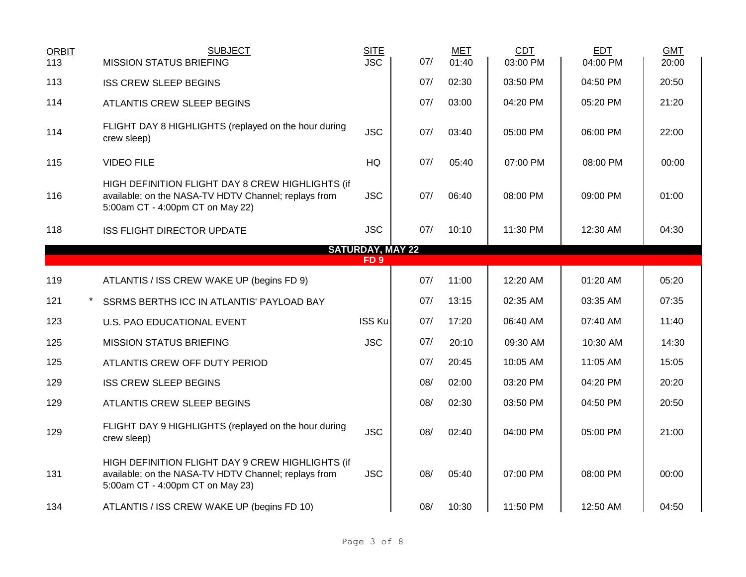| <b>ORBIT</b> | <b>SUBJECT</b>                                                                                                                               | <b>SITE</b>             |     | <b>MET</b> | <b>CDT</b> | <b>EDT</b> | <b>GMT</b> |
|--------------|----------------------------------------------------------------------------------------------------------------------------------------------|-------------------------|-----|------------|------------|------------|------------|
| 113          | <b>MISSION STATUS BRIEFING</b>                                                                                                               | $\overline{\text{JSC}}$ | 07/ | 01:40      | 03:00 PM   | 04:00 PM   | 20:00      |
| 113          | <b>ISS CREW SLEEP BEGINS</b>                                                                                                                 |                         | 07/ | 02:30      | 03:50 PM   | 04:50 PM   | 20:50      |
| 114          | <b>ATLANTIS CREW SLEEP BEGINS</b>                                                                                                            |                         | 07/ | 03:00      | 04:20 PM   | 05:20 PM   | 21:20      |
| 114          | FLIGHT DAY 8 HIGHLIGHTS (replayed on the hour during<br>crew sleep)                                                                          | <b>JSC</b>              | 07/ | 03:40      | 05:00 PM   | 06:00 PM   | 22:00      |
| 115          | <b>VIDEO FILE</b>                                                                                                                            | HQ                      | 07/ | 05:40      | 07:00 PM   | 08:00 PM   | 00:00      |
| 116          | HIGH DEFINITION FLIGHT DAY 8 CREW HIGHLIGHTS (if<br>available; on the NASA-TV HDTV Channel; replays from<br>5:00am CT - 4:00pm CT on May 22) | <b>JSC</b>              | 07/ | 06:40      | 08:00 PM   | 09:00 PM   | 01:00      |
| 118          | <b>ISS FLIGHT DIRECTOR UPDATE</b>                                                                                                            | <b>JSC</b>              | 07/ | 10:10      | 11:30 PM   | 12:30 AM   | 04:30      |
|              |                                                                                                                                              | <b>SATURDAY, MAY 22</b> |     |            |            |            |            |
|              |                                                                                                                                              | FD <sub>9</sub>         |     |            |            |            |            |
| 119          | ATLANTIS / ISS CREW WAKE UP (begins FD 9)                                                                                                    |                         | 07/ | 11:00      | 12:20 AM   | 01:20 AM   | 05:20      |
| 121          | SSRMS BERTHS ICC IN ATLANTIS' PAYLOAD BAY                                                                                                    |                         | 07/ | 13:15      | 02:35 AM   | 03:35 AM   | 07:35      |
| 123          | <b>U.S. PAO EDUCATIONAL EVENT</b>                                                                                                            | <b>ISS Ku</b>           | 07/ | 17:20      | 06:40 AM   | 07:40 AM   | 11:40      |
| 125          | <b>MISSION STATUS BRIEFING</b>                                                                                                               | <b>JSC</b>              | 07/ | 20:10      | 09:30 AM   | 10:30 AM   | 14:30      |
| 125          | ATLANTIS CREW OFF DUTY PERIOD                                                                                                                |                         | 07/ | 20:45      | 10:05 AM   | 11:05 AM   | 15:05      |
| 129          | <b>ISS CREW SLEEP BEGINS</b>                                                                                                                 |                         | 08/ | 02:00      | 03:20 PM   | 04:20 PM   | 20:20      |
| 129          | ATLANTIS CREW SLEEP BEGINS                                                                                                                   |                         | 08/ | 02:30      | 03:50 PM   | 04:50 PM   | 20:50      |
| 129          | FLIGHT DAY 9 HIGHLIGHTS (replayed on the hour during<br>crew sleep)                                                                          | <b>JSC</b>              | 08/ | 02:40      | 04:00 PM   | 05:00 PM   | 21:00      |
| 131          | HIGH DEFINITION FLIGHT DAY 9 CREW HIGHLIGHTS (if<br>available; on the NASA-TV HDTV Channel; replays from<br>5:00am CT - 4:00pm CT on May 23) | <b>JSC</b>              | 08/ | 05:40      | 07:00 PM   | 08:00 PM   | 00:00      |
| 134          | ATLANTIS / ISS CREW WAKE UP (begins FD 10)                                                                                                   |                         | 08/ | 10:30      | 11:50 PM   | 12:50 AM   | 04:50      |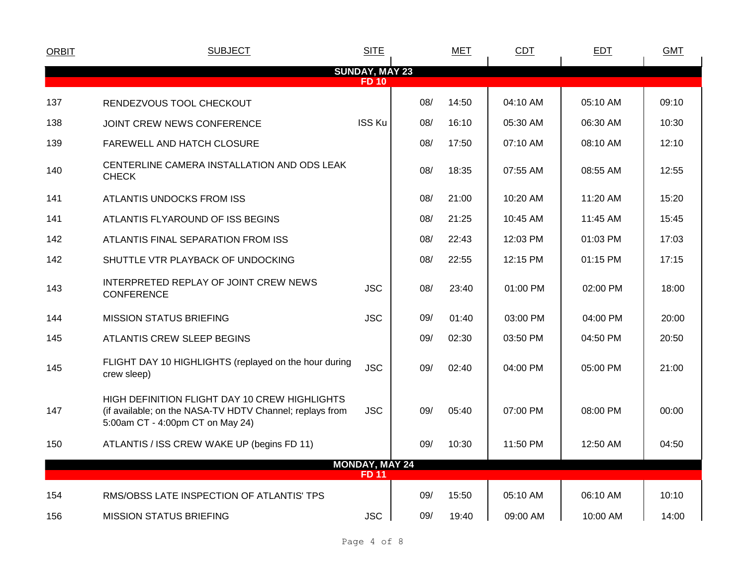| <b>ORBIT</b> | <b>SUBJECT</b>                                                                                                                                | <b>SITE</b>           |     | <b>MET</b> | CDT      | <b>EDT</b> | <b>GMT</b> |
|--------------|-----------------------------------------------------------------------------------------------------------------------------------------------|-----------------------|-----|------------|----------|------------|------------|
|              |                                                                                                                                               | <b>SUNDAY, MAY 23</b> |     |            |          |            |            |
|              |                                                                                                                                               | <b>FD 10</b>          |     |            |          |            |            |
| 137          | RENDEZVOUS TOOL CHECKOUT                                                                                                                      |                       | 08/ | 14:50      | 04:10 AM | 05:10 AM   | 09:10      |
| 138          | JOINT CREW NEWS CONFERENCE                                                                                                                    | <b>ISS Ku</b>         | 08/ | 16:10      | 05:30 AM | 06:30 AM   | 10:30      |
| 139          | FAREWELL AND HATCH CLOSURE                                                                                                                    |                       | 08/ | 17:50      | 07:10 AM | 08:10 AM   | 12:10      |
| 140          | CENTERLINE CAMERA INSTALLATION AND ODS LEAK<br><b>CHECK</b>                                                                                   |                       | 08/ | 18:35      | 07:55 AM | 08:55 AM   | 12:55      |
| 141          | ATLANTIS UNDOCKS FROM ISS                                                                                                                     |                       | 08/ | 21:00      | 10:20 AM | 11:20 AM   | 15:20      |
| 141          | ATLANTIS FLYAROUND OF ISS BEGINS                                                                                                              |                       | 08/ | 21:25      | 10:45 AM | 11:45 AM   | 15:45      |
| 142          | ATLANTIS FINAL SEPARATION FROM ISS                                                                                                            |                       | 08/ | 22:43      | 12:03 PM | 01:03 PM   | 17:03      |
| 142          | SHUTTLE VTR PLAYBACK OF UNDOCKING                                                                                                             |                       | 08/ | 22:55      | 12:15 PM | 01:15 PM   | 17:15      |
| 143          | INTERPRETED REPLAY OF JOINT CREW NEWS<br><b>CONFERENCE</b>                                                                                    | <b>JSC</b>            | 08/ | 23:40      | 01:00 PM | 02:00 PM   | 18:00      |
| 144          | <b>MISSION STATUS BRIEFING</b>                                                                                                                | <b>JSC</b>            | 09/ | 01:40      | 03:00 PM | 04:00 PM   | 20:00      |
| 145          | ATLANTIS CREW SLEEP BEGINS                                                                                                                    |                       | 09/ | 02:30      | 03:50 PM | 04:50 PM   | 20:50      |
| 145          | FLIGHT DAY 10 HIGHLIGHTS (replayed on the hour during<br>crew sleep)                                                                          | <b>JSC</b>            | 09/ | 02:40      | 04:00 PM | 05:00 PM   | 21:00      |
| 147          | HIGH DEFINITION FLIGHT DAY 10 CREW HIGHLIGHTS<br>(if available; on the NASA-TV HDTV Channel; replays from<br>5:00am CT - 4:00pm CT on May 24) | <b>JSC</b>            | 09/ | 05:40      | 07:00 PM | 08:00 PM   | 00:00      |
| 150          | ATLANTIS / ISS CREW WAKE UP (begins FD 11)                                                                                                    |                       | 09/ | 10:30      | 11:50 PM | 12:50 AM   | 04:50      |
|              |                                                                                                                                               | <b>MONDAY, MAY 24</b> |     |            |          |            |            |
|              |                                                                                                                                               | <b>FD 11</b>          |     |            |          |            |            |
| 154          | RMS/OBSS LATE INSPECTION OF ATLANTIS' TPS                                                                                                     |                       | 09/ | 15:50      | 05:10 AM | 06:10 AM   | 10:10      |
| 156          | <b>MISSION STATUS BRIEFING</b>                                                                                                                | <b>JSC</b>            | 09/ | 19:40      | 09:00 AM | 10:00 AM   | 14:00      |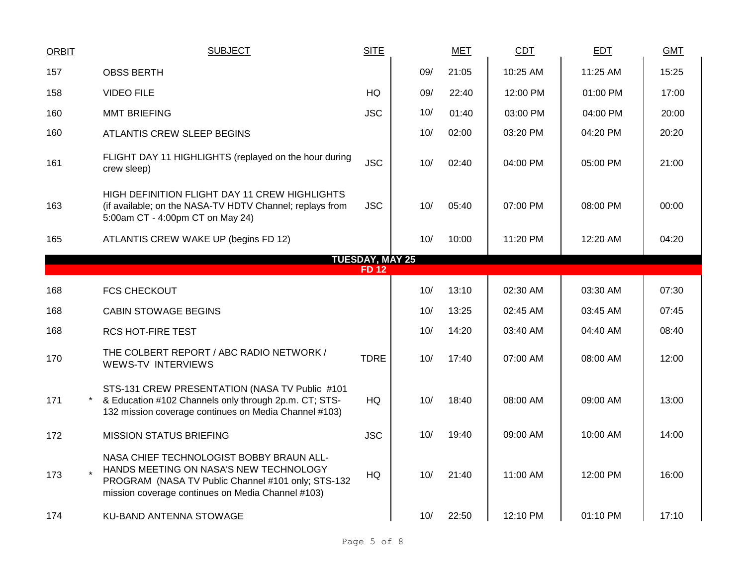| <b>ORBIT</b> | <b>SUBJECT</b>                                                                                                                                                                                | <b>SITE</b>            |     | <b>MET</b> | CDT      | <b>EDT</b> | <b>GMT</b> |
|--------------|-----------------------------------------------------------------------------------------------------------------------------------------------------------------------------------------------|------------------------|-----|------------|----------|------------|------------|
| 157          | <b>OBSS BERTH</b>                                                                                                                                                                             |                        | 09/ | 21:05      | 10:25 AM | 11:25 AM   | 15:25      |
| 158          | <b>VIDEO FILE</b>                                                                                                                                                                             | <b>HQ</b>              | 09/ | 22:40      | 12:00 PM | 01:00 PM   | 17:00      |
| 160          | <b>MMT BRIEFING</b>                                                                                                                                                                           | <b>JSC</b>             | 10/ | 01:40      | 03:00 PM | 04:00 PM   | 20:00      |
| 160          | ATLANTIS CREW SLEEP BEGINS                                                                                                                                                                    |                        | 10/ | 02:00      | 03:20 PM | 04:20 PM   | 20:20      |
| 161          | FLIGHT DAY 11 HIGHLIGHTS (replayed on the hour during<br>crew sleep)                                                                                                                          | <b>JSC</b>             | 10/ | 02:40      | 04:00 PM | 05:00 PM   | 21:00      |
| 163          | HIGH DEFINITION FLIGHT DAY 11 CREW HIGHLIGHTS<br>(if available; on the NASA-TV HDTV Channel; replays from<br>5:00am CT - 4:00pm CT on May 24)                                                 | <b>JSC</b>             | 10/ | 05:40      | 07:00 PM | 08:00 PM   | 00:00      |
| 165          | ATLANTIS CREW WAKE UP (begins FD 12)                                                                                                                                                          |                        | 10/ | 10:00      | 11:20 PM | 12:20 AM   | 04:20      |
|              |                                                                                                                                                                                               | <b>TUESDAY, MAY 25</b> |     |            |          |            |            |
|              |                                                                                                                                                                                               | <b>FD12</b>            |     |            |          |            |            |
| 168          | <b>FCS CHECKOUT</b>                                                                                                                                                                           |                        | 10/ | 13:10      | 02:30 AM | 03:30 AM   | 07:30      |
| 168          | <b>CABIN STOWAGE BEGINS</b>                                                                                                                                                                   |                        | 10/ | 13:25      | 02:45 AM | 03:45 AM   | 07:45      |
| 168          | <b>RCS HOT-FIRE TEST</b>                                                                                                                                                                      |                        | 10/ | 14:20      | 03:40 AM | 04:40 AM   | 08:40      |
| 170          | THE COLBERT REPORT / ABC RADIO NETWORK /<br><b>WEWS-TV INTERVIEWS</b>                                                                                                                         | <b>TDRE</b>            | 10/ | 17:40      | 07:00 AM | 08:00 AM   | 12:00      |
| 171          | STS-131 CREW PRESENTATION (NASA TV Public #101<br>& Education #102 Channels only through 2p.m. CT; STS-<br>132 mission coverage continues on Media Channel #103)                              | HQ                     | 10/ | 18:40      | 08:00 AM | 09:00 AM   | 13:00      |
| 172          | <b>MISSION STATUS BRIEFING</b>                                                                                                                                                                | <b>JSC</b>             | 10/ | 19:40      | 09:00 AM | 10:00 AM   | 14:00      |
| 173          | NASA CHIEF TECHNOLOGIST BOBBY BRAUN ALL-<br>HANDS MEETING ON NASA'S NEW TECHNOLOGY<br>PROGRAM (NASA TV Public Channel #101 only; STS-132<br>mission coverage continues on Media Channel #103) | HQ                     | 10/ | 21:40      | 11:00 AM | 12:00 PM   | 16:00      |
| 174          | KU-BAND ANTENNA STOWAGE                                                                                                                                                                       |                        | 10/ | 22:50      | 12:10 PM | 01:10 PM   | 17:10      |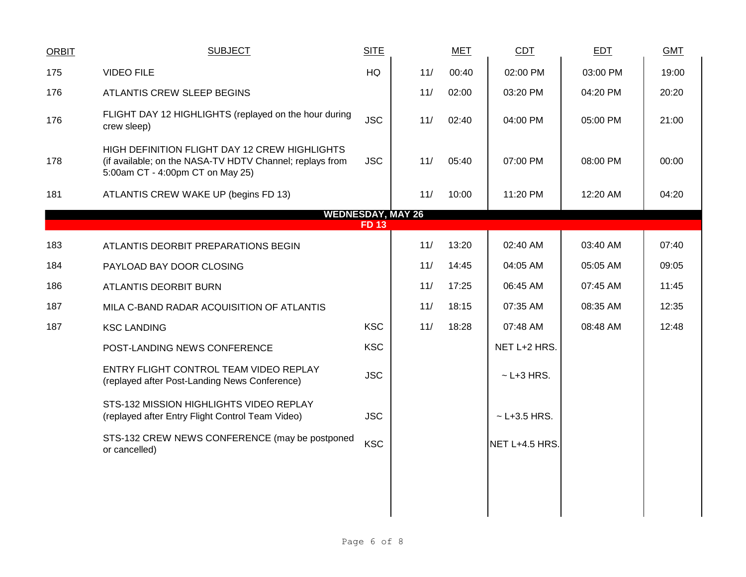| <b>ORBIT</b> | <b>SUBJECT</b>                                                                                                                                | <b>SITE</b> |     | <b>MET</b> | CDT              | <b>EDT</b> | <b>GMT</b> |
|--------------|-----------------------------------------------------------------------------------------------------------------------------------------------|-------------|-----|------------|------------------|------------|------------|
| 175          | <b>VIDEO FILE</b>                                                                                                                             | HQ          | 11/ | 00:40      | 02:00 PM         | 03:00 PM   | 19:00      |
| 176          | ATLANTIS CREW SLEEP BEGINS                                                                                                                    |             | 11/ | 02:00      | 03:20 PM         | 04:20 PM   | 20:20      |
| 176          | FLIGHT DAY 12 HIGHLIGHTS (replayed on the hour during<br>crew sleep)                                                                          | <b>JSC</b>  | 11/ | 02:40      | 04:00 PM         | 05:00 PM   | 21:00      |
| 178          | HIGH DEFINITION FLIGHT DAY 12 CREW HIGHLIGHTS<br>(if available; on the NASA-TV HDTV Channel; replays from<br>5:00am CT - 4:00pm CT on May 25) | <b>JSC</b>  | 11/ | 05:40      | 07:00 PM         | 08:00 PM   | 00:00      |
| 181          | ATLANTIS CREW WAKE UP (begins FD 13)                                                                                                          |             | 11/ | 10:00      | 11:20 PM         | 12:20 AM   | 04:20      |
|              | <b>WEDNESDAY, MAY 26</b>                                                                                                                      |             |     |            |                  |            |            |
|              |                                                                                                                                               | <b>FD13</b> |     |            |                  |            |            |
| 183          | ATLANTIS DEORBIT PREPARATIONS BEGIN                                                                                                           |             | 11/ | 13:20      | 02:40 AM         | 03:40 AM   | 07:40      |
| 184          | PAYLOAD BAY DOOR CLOSING                                                                                                                      |             | 11/ | 14:45      | 04:05 AM         | 05:05 AM   | 09:05      |
| 186          | ATLANTIS DEORBIT BURN                                                                                                                         |             | 11/ | 17:25      | 06:45 AM         | 07:45 AM   | 11:45      |
| 187          | MILA C-BAND RADAR ACQUISITION OF ATLANTIS                                                                                                     |             | 11/ | 18:15      | 07:35 AM         | 08:35 AM   | 12:35      |
| 187          | <b>KSC LANDING</b>                                                                                                                            | <b>KSC</b>  | 11/ | 18:28      | 07:48 AM         | 08:48 AM   | 12:48      |
|              | POST-LANDING NEWS CONFERENCE                                                                                                                  | <b>KSC</b>  |     |            | NET L+2 HRS.     |            |            |
|              | ENTRY FLIGHT CONTROL TEAM VIDEO REPLAY<br>(replayed after Post-Landing News Conference)                                                       | <b>JSC</b>  |     |            | $~$ - L+3 HRS.   |            |            |
|              | STS-132 MISSION HIGHLIGHTS VIDEO REPLAY<br>(replayed after Entry Flight Control Team Video)                                                   | <b>JSC</b>  |     |            | $~$ - L+3.5 HRS. |            |            |
|              | STS-132 CREW NEWS CONFERENCE (may be postponed<br>or cancelled)                                                                               | <b>KSC</b>  |     |            | NET L+4.5 HRS.   |            |            |
|              |                                                                                                                                               |             |     |            |                  |            |            |
|              |                                                                                                                                               |             |     |            |                  |            |            |
|              |                                                                                                                                               |             |     |            |                  |            |            |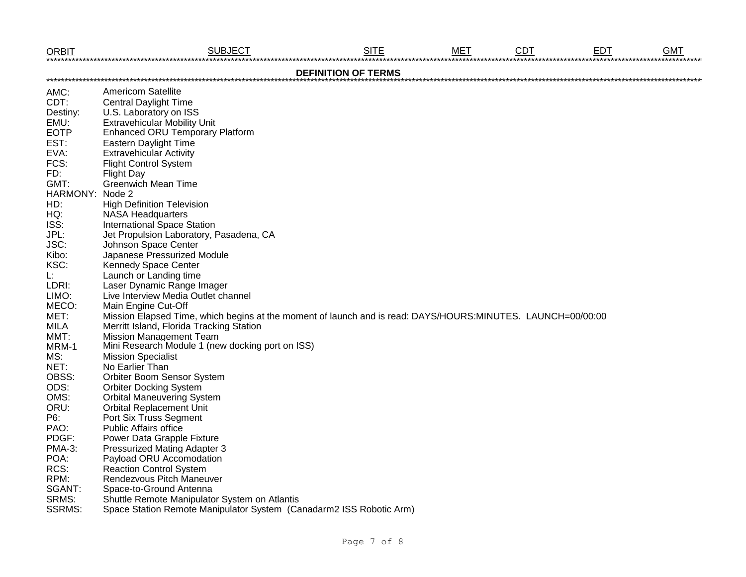|                 | $\underbrace{\text{ORBIT}}_{\text{2000}} \underbrace{\text{SUBJECT}}_{\text{3000}}$                         | <b>SITE</b>                |  |  |
|-----------------|-------------------------------------------------------------------------------------------------------------|----------------------------|--|--|
|                 |                                                                                                             | <b>DEFINITION OF TERMS</b> |  |  |
| AMC:            | <b>Americom Satellite</b>                                                                                   |                            |  |  |
| CDT:            | <b>Central Daylight Time</b>                                                                                |                            |  |  |
| Destiny:        | U.S. Laboratory on ISS                                                                                      |                            |  |  |
| EMU:            | <b>Extravehicular Mobility Unit</b>                                                                         |                            |  |  |
| <b>EOTP</b>     | <b>Enhanced ORU Temporary Platform</b>                                                                      |                            |  |  |
| EST:            | Eastern Daylight Time                                                                                       |                            |  |  |
| EVA:            | <b>Extravehicular Activity</b>                                                                              |                            |  |  |
| FCS:            | <b>Flight Control System</b>                                                                                |                            |  |  |
| FD:             | <b>Flight Day</b>                                                                                           |                            |  |  |
| GMT:            | <b>Greenwich Mean Time</b>                                                                                  |                            |  |  |
| HARMONY: Node 2 |                                                                                                             |                            |  |  |
| HD:             | <b>High Definition Television</b>                                                                           |                            |  |  |
| HQ:             | <b>NASA Headquarters</b>                                                                                    |                            |  |  |
| ISS:            | <b>International Space Station</b>                                                                          |                            |  |  |
| JPL:            | Jet Propulsion Laboratory, Pasadena, CA                                                                     |                            |  |  |
| JSC:            | Johnson Space Center                                                                                        |                            |  |  |
| Kibo:           | Japanese Pressurized Module                                                                                 |                            |  |  |
| KSC:            | Kennedy Space Center                                                                                        |                            |  |  |
| L:              | Launch or Landing time                                                                                      |                            |  |  |
| LDRI:           | Laser Dynamic Range Imager                                                                                  |                            |  |  |
| LIMO:           | Live Interview Media Outlet channel                                                                         |                            |  |  |
| MECO:           | Main Engine Cut-Off                                                                                         |                            |  |  |
| MET:            | Mission Elapsed Time, which begins at the moment of launch and is read: DAYS/HOURS:MINUTES. LAUNCH=00/00:00 |                            |  |  |
| <b>MILA</b>     | Merritt Island, Florida Tracking Station                                                                    |                            |  |  |
| MMT:            | <b>Mission Management Team</b>                                                                              |                            |  |  |
| MRM-1           | Mini Research Module 1 (new docking port on ISS)                                                            |                            |  |  |
| MS:             | <b>Mission Specialist</b>                                                                                   |                            |  |  |
| NET:            | No Earlier Than                                                                                             |                            |  |  |
| OBSS:           | Orbiter Boom Sensor System                                                                                  |                            |  |  |
| ODS:            | <b>Orbiter Docking System</b>                                                                               |                            |  |  |
| OMS:            | <b>Orbital Maneuvering System</b>                                                                           |                            |  |  |
| ORU:            | <b>Orbital Replacement Unit</b>                                                                             |                            |  |  |
| P6:             | Port Six Truss Segment                                                                                      |                            |  |  |
| PAO:            | <b>Public Affairs office</b>                                                                                |                            |  |  |
| PDGF:           | Power Data Grapple Fixture                                                                                  |                            |  |  |
| <b>PMA-3:</b>   | <b>Pressurized Mating Adapter 3</b>                                                                         |                            |  |  |
| POA:            | Payload ORU Accomodation                                                                                    |                            |  |  |
| RCS:            | <b>Reaction Control System</b>                                                                              |                            |  |  |
| RPM:            | Rendezvous Pitch Maneuver                                                                                   |                            |  |  |
| SGANT:          | Space-to-Ground Antenna                                                                                     |                            |  |  |
| SRMS:           | Shuttle Remote Manipulator System on Atlantis                                                               |                            |  |  |
| <b>SSRMS:</b>   | Space Station Remote Manipulator System (Canadarm2 ISS Robotic Arm)                                         |                            |  |  |